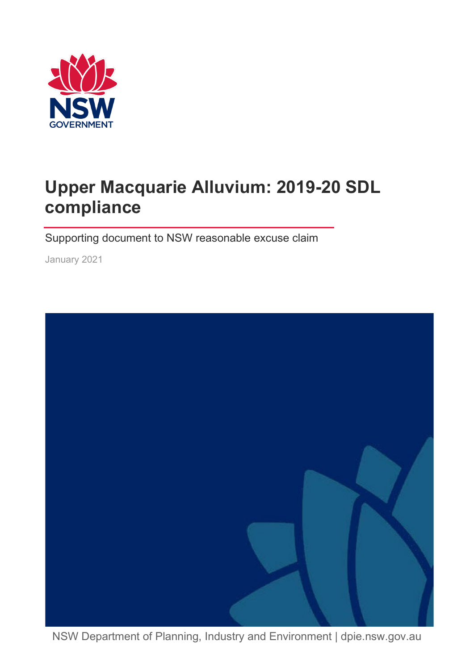

# **Upper Macquarie Alluvium: 2019-20 SDL compliance**

Supporting document to NSW reasonable excuse claim

January 2021



NSW Department of Planning, Industry and Environment | dpie.nsw.gov.au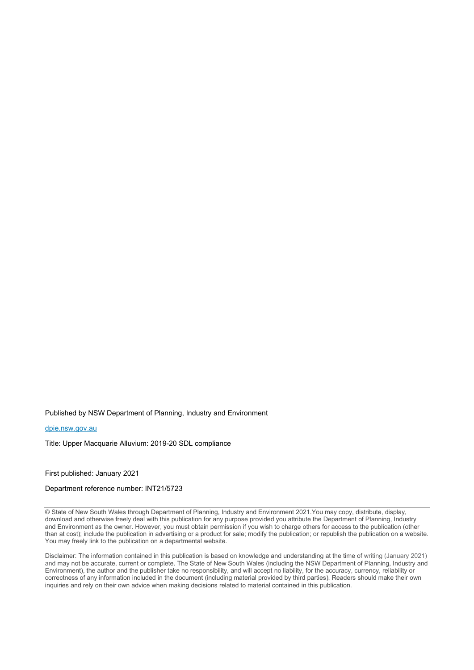Published by NSW Department of Planning, Industry and Environment

#### [dpie.nsw.gov.au](http://www.dpie.nsw.gov.au/)

Title: Upper Macquarie Alluvium: 2019-20 SDL compliance

First published: January 2021

Department reference number: INT21/5723

© State of New South Wales through Department of Planning, Industry and Environment 2021.You may copy, distribute, display, download and otherwise freely deal with this publication for any purpose provided you attribute the Department of Planning, Industry and Environment as the owner. However, you must obtain permission if you wish to charge others for access to the publication (other than at cost); include the publication in advertising or a product for sale; modify the publication; or republish the publication on a website. You may freely link to the publication on a departmental website.

Disclaimer: The information contained in this publication is based on knowledge and understanding at the time of writing (January 2021) and may not be accurate, current or complete. The State of New South Wales (including the NSW Department of Planning, Industry and Environment), the author and the publisher take no responsibility, and will accept no liability, for the accuracy, currency, reliability or correctness of any information included in the document (including material provided by third parties). Readers should make their own inquiries and rely on their own advice when making decisions related to material contained in this publication.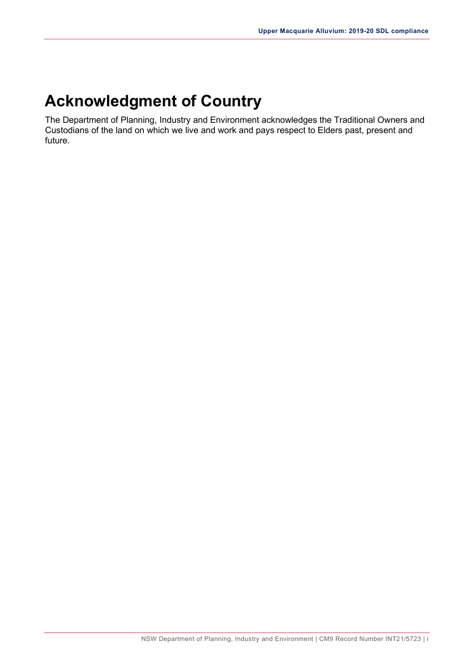## **Acknowledgment of Country**

The Department of Planning, Industry and Environment acknowledges the Traditional Owners and Custodians of the land on which we live and work and pays respect to Elders past, present and future.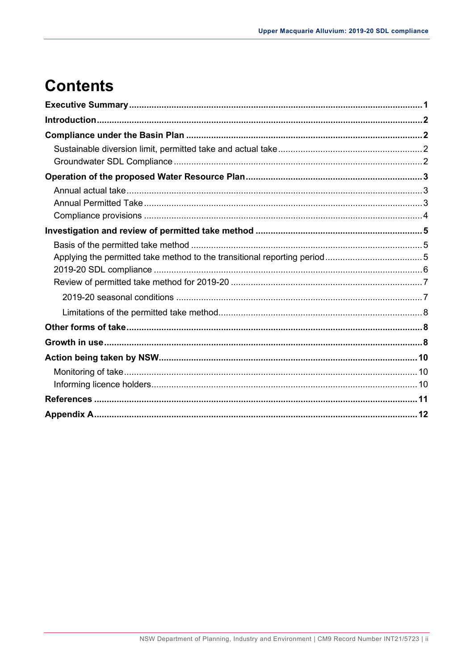# **Contents**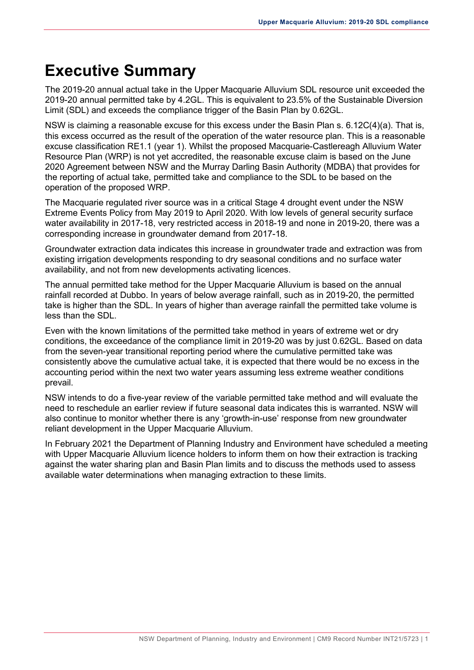### <span id="page-4-0"></span>**Executive Summary**

The 2019-20 annual actual take in the Upper Macquarie Alluvium SDL resource unit exceeded the 2019-20 annual permitted take by 4.2GL. This is equivalent to 23.5% of the Sustainable Diversion Limit (SDL) and exceeds the compliance trigger of the Basin Plan by 0.62GL.

NSW is claiming a reasonable excuse for this excess under the Basin Plan s. 6.12C(4)(a). That is, this excess occurred as the result of the operation of the water resource plan. This is a reasonable excuse classification RE1.1 (year 1). Whilst the proposed Macquarie-Castlereagh Alluvium Water Resource Plan (WRP) is not yet accredited, the reasonable excuse claim is based on the June 2020 Agreement between NSW and the Murray Darling Basin Authority (MDBA) that provides for the reporting of actual take, permitted take and compliance to the SDL to be based on the operation of the proposed WRP.

The Macquarie regulated river source was in a critical Stage 4 drought event under the NSW Extreme Events Policy from May 2019 to April 2020. With low levels of general security surface water availability in 2017-18, very restricted access in 2018-19 and none in 2019-20, there was a corresponding increase in groundwater demand from 2017-18.

Groundwater extraction data indicates this increase in groundwater trade and extraction was from existing irrigation developments responding to dry seasonal conditions and no surface water availability, and not from new developments activating licences.

The annual permitted take method for the Upper Macquarie Alluvium is based on the annual rainfall recorded at Dubbo. In years of below average rainfall, such as in 2019-20, the permitted take is higher than the SDL. In years of higher than average rainfall the permitted take volume is less than the SDL.

Even with the known limitations of the permitted take method in years of extreme wet or dry conditions, the exceedance of the compliance limit in 2019-20 was by just 0.62GL. Based on data from the seven-year transitional reporting period where the cumulative permitted take was consistently above the cumulative actual take, it is expected that there would be no excess in the accounting period within the next two water years assuming less extreme weather conditions prevail.

NSW intends to do a five-year review of the variable permitted take method and will evaluate the need to reschedule an earlier review if future seasonal data indicates this is warranted. NSW will also continue to monitor whether there is any 'growth-in-use' response from new groundwater reliant development in the Upper Macquarie Alluvium.

In February 2021 the Department of Planning Industry and Environment have scheduled a meeting with Upper Macquarie Alluvium licence holders to inform them on how their extraction is tracking against the water sharing plan and Basin Plan limits and to discuss the methods used to assess available water determinations when managing extraction to these limits.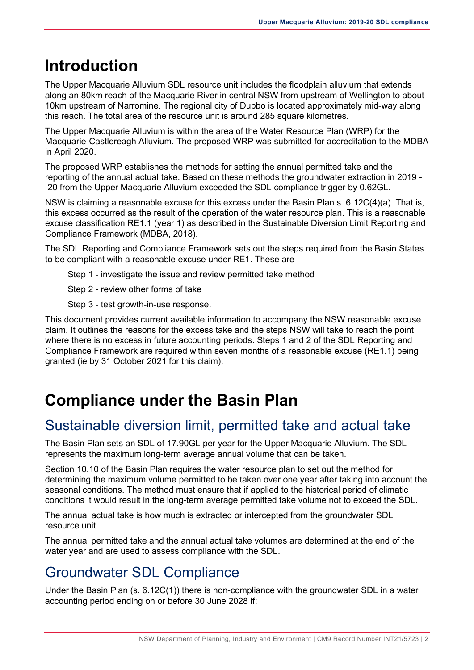## <span id="page-5-0"></span>**Introduction**

The Upper Macquarie Alluvium SDL resource unit includes the floodplain alluvium that extends along an 80km reach of the Macquarie River in central NSW from upstream of Wellington to about 10km upstream of Narromine. The regional city of Dubbo is located approximately mid-way along this reach. The total area of the resource unit is around 285 square kilometres.

The Upper Macquarie Alluvium is within the area of the Water Resource Plan (WRP) for the Macquarie-Castlereagh Alluvium. The proposed WRP was submitted for accreditation to the MDBA in April 2020.

The proposed WRP establishes the methods for setting the annual permitted take and the reporting of the annual actual take. Based on these methods the groundwater extraction in 2019 - 20 from the Upper Macquarie Alluvium exceeded the SDL compliance trigger by 0.62GL.

NSW is claiming a reasonable excuse for this excess under the Basin Plan s. 6.12C(4)(a). That is, this excess occurred as the result of the operation of the water resource plan. This is a reasonable excuse classification RE1.1 (year 1) as described in the Sustainable Diversion Limit Reporting and Compliance Framework (MDBA, 2018).

The SDL Reporting and Compliance Framework sets out the steps required from the Basin States to be compliant with a reasonable excuse under RE1. These are

Step 1 - investigate the issue and review permitted take method

Step 2 - review other forms of take

Step 3 - test growth-in-use response.

This document provides current available information to accompany the NSW reasonable excuse claim. It outlines the reasons for the excess take and the steps NSW will take to reach the point where there is no excess in future accounting periods. Steps 1 and 2 of the SDL Reporting and Compliance Framework are required within seven months of a reasonable excuse (RE1.1) being granted (ie by 31 October 2021 for this claim).

## <span id="page-5-1"></span>**Compliance under the Basin Plan**

#### <span id="page-5-2"></span>Sustainable diversion limit, permitted take and actual take

The Basin Plan sets an SDL of 17.90GL per year for the Upper Macquarie Alluvium. The SDL represents the maximum long-term average annual volume that can be taken.

Section 10.10 of the Basin Plan requires the water resource plan to set out the method for determining the maximum volume permitted to be taken over one year after taking into account the seasonal conditions. The method must ensure that if applied to the historical period of climatic conditions it would result in the long-term average permitted take volume not to exceed the SDL.

The annual actual take is how much is extracted or intercepted from the groundwater SDL resource unit.

The annual permitted take and the annual actual take volumes are determined at the end of the water year and are used to assess compliance with the SDL.

#### <span id="page-5-3"></span>Groundwater SDL Compliance

Under the Basin Plan (s. 6.12C(1)) there is non-compliance with the groundwater SDL in a water accounting period ending on or before 30 June 2028 if: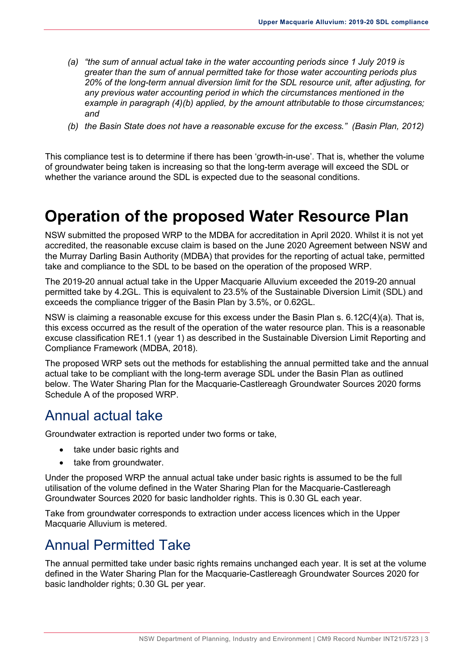- *(a) "the sum of annual actual take in the water accounting periods since 1 July 2019 is greater than the sum of annual permitted take for those water accounting periods plus 20% of the long-term annual diversion limit for the SDL resource unit, after adjusting, for any previous water accounting period in which the circumstances mentioned in the example in paragraph (4)(b) applied, by the amount attributable to those circumstances; and*
- *(b) the Basin State does not have a reasonable excuse for the excess." (Basin Plan, 2012)*

This compliance test is to determine if there has been 'growth-in-use'. That is, whether the volume of groundwater being taken is increasing so that the long-term average will exceed the SDL or whether the variance around the SDL is expected due to the seasonal conditions.

#### <span id="page-6-0"></span>**Operation of the proposed Water Resource Plan**

NSW submitted the proposed WRP to the MDBA for accreditation in April 2020. Whilst it is not yet accredited, the reasonable excuse claim is based on the June 2020 Agreement between NSW and the Murray Darling Basin Authority (MDBA) that provides for the reporting of actual take, permitted take and compliance to the SDL to be based on the operation of the proposed WRP.

The 2019-20 annual actual take in the Upper Macquarie Alluvium exceeded the 2019-20 annual permitted take by 4.2GL. This is equivalent to 23.5% of the Sustainable Diversion Limit (SDL) and exceeds the compliance trigger of the Basin Plan by 3.5%, or 0.62GL.

NSW is claiming a reasonable excuse for this excess under the Basin Plan s. 6.12C(4)(a). That is, this excess occurred as the result of the operation of the water resource plan. This is a reasonable excuse classification RE1.1 (year 1) as described in the Sustainable Diversion Limit Reporting and Compliance Framework (MDBA, 2018).

The proposed WRP sets out the methods for establishing the annual permitted take and the annual actual take to be compliant with the long-term average SDL under the Basin Plan as outlined below. The Water Sharing Plan for the Macquarie-Castlereagh Groundwater Sources 2020 forms Schedule A of the proposed WRP.

#### <span id="page-6-1"></span>Annual actual take

Groundwater extraction is reported under two forms or take,

- take under basic rights and
- take from groundwater.

Under the proposed WRP the annual actual take under basic rights is assumed to be the full utilisation of the volume defined in the Water Sharing Plan for the Macquarie-Castlereagh Groundwater Sources 2020 for basic landholder rights. This is 0.30 GL each year.

Take from groundwater corresponds to extraction under access licences which in the Upper Macquarie Alluvium is metered.

#### <span id="page-6-2"></span>Annual Permitted Take

The annual permitted take under basic rights remains unchanged each year. It is set at the volume defined in the Water Sharing Plan for the Macquarie-Castlereagh Groundwater Sources 2020 for basic landholder rights; 0.30 GL per year.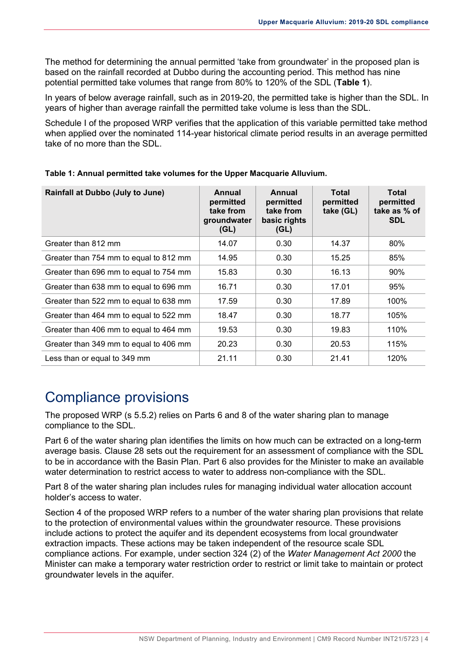The method for determining the annual permitted 'take from groundwater' in the proposed plan is based on the rainfall recorded at Dubbo during the accounting period. This method has nine potential permitted take volumes that range from 80% to 120% of the SDL (**[Table 1](#page-7-1)**).

In years of below average rainfall, such as in 2019-20, the permitted take is higher than the SDL. In years of higher than average rainfall the permitted take volume is less than the SDL.

Schedule I of the proposed WRP verifies that the application of this variable permitted take method when applied over the nominated 114-year historical climate period results in an average permitted take of no more than the SDL.

| <b>Rainfall at Dubbo (July to June)</b> | Annual<br>permitted<br>take from<br>groundwater<br>(GL) | Annual<br>permitted<br>take from<br>basic rights<br>(GL) | <b>Total</b><br>permitted<br>take (GL) | <b>Total</b><br>permitted<br>take as % of<br><b>SDL</b> |
|-----------------------------------------|---------------------------------------------------------|----------------------------------------------------------|----------------------------------------|---------------------------------------------------------|
| Greater than 812 mm                     | 14.07                                                   | 0.30                                                     | 14.37                                  | 80%                                                     |
| Greater than 754 mm to equal to 812 mm  | 14.95                                                   | 0.30                                                     | 15.25                                  | 85%                                                     |
| Greater than 696 mm to equal to 754 mm  | 15.83                                                   | 0.30                                                     | 16.13                                  | 90%                                                     |
| Greater than 638 mm to equal to 696 mm  | 16.71                                                   | 0.30                                                     | 17.01                                  | 95%                                                     |
| Greater than 522 mm to equal to 638 mm  | 17.59                                                   | 0.30                                                     | 17.89                                  | 100%                                                    |
| Greater than 464 mm to equal to 522 mm  | 18.47                                                   | 0.30                                                     | 18.77                                  | 105%                                                    |
| Greater than 406 mm to equal to 464 mm  | 19.53                                                   | 0.30                                                     | 19.83                                  | 110%                                                    |
| Greater than 349 mm to equal to 406 mm  | 20.23                                                   | 0.30                                                     | 20.53                                  | 115%                                                    |
| Less than or equal to 349 mm            | 21.11                                                   | 0.30                                                     | 21.41                                  | 120%                                                    |

<span id="page-7-1"></span>**Table 1: Annual permitted take volumes for the Upper Macquarie Alluvium.** 

#### <span id="page-7-0"></span>Compliance provisions

The proposed WRP (s 5.5.2) relies on Parts 6 and 8 of the water sharing plan to manage compliance to the SDL.

Part 6 of the water sharing plan identifies the limits on how much can be extracted on a long-term average basis. Clause 28 sets out the requirement for an assessment of compliance with the SDL to be in accordance with the Basin Plan. Part 6 also provides for the Minister to make an available water determination to restrict access to water to address non-compliance with the SDL.

Part 8 of the water sharing plan includes rules for managing individual water allocation account holder's access to water.

Section 4 of the proposed WRP refers to a number of the water sharing plan provisions that relate to the protection of environmental values within the groundwater resource. These provisions include actions to protect the aquifer and its dependent ecosystems from local groundwater extraction impacts. These actions may be taken independent of the resource scale SDL compliance actions. For example, under section 324 (2) of the *Water Management Act 2000* the Minister can make a temporary water restriction order to restrict or limit take to maintain or protect groundwater levels in the aquifer.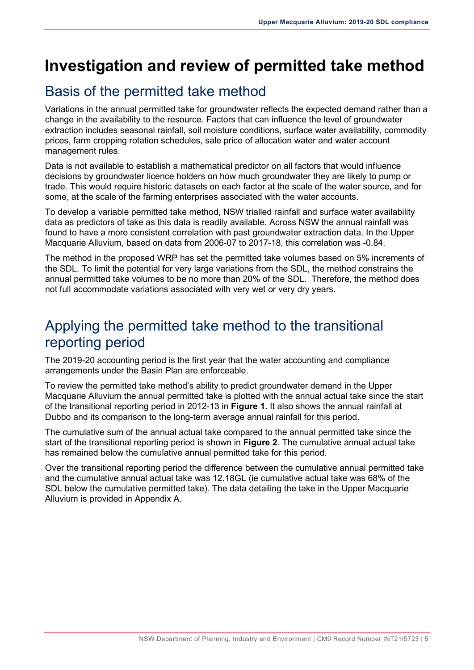## <span id="page-8-0"></span>**Investigation and review of permitted take method**

#### <span id="page-8-1"></span>Basis of the permitted take method

Variations in the annual permitted take for groundwater reflects the expected demand rather than a change in the availability to the resource. Factors that can influence the level of groundwater extraction includes seasonal rainfall, soil moisture conditions, surface water availability, commodity prices, farm cropping rotation schedules, sale price of allocation water and water account management rules.

Data is not available to establish a mathematical predictor on all factors that would influence decisions by groundwater licence holders on how much groundwater they are likely to pump or trade. This would require historic datasets on each factor at the scale of the water source, and for some, at the scale of the farming enterprises associated with the water accounts.

To develop a variable permitted take method, NSW trialled rainfall and surface water availability data as predictors of take as this data is readily available. Across NSW the annual rainfall was found to have a more consistent correlation with past groundwater extraction data. In the Upper Macquarie Alluvium, based on data from 2006-07 to 2017-18, this correlation was -0.84.

The method in the proposed WRP has set the permitted take volumes based on 5% increments of the SDL. To limit the potential for very large variations from the SDL, the method constrains the annual permitted take volumes to be no more than 20% of the SDL. Therefore, the method does not full accommodate variations associated with very wet or very dry years.

#### <span id="page-8-2"></span>Applying the permitted take method to the transitional reporting period

The 2019-20 accounting period is the first year that the water accounting and compliance arrangements under the Basin Plan are enforceable.

To review the permitted take method's ability to predict groundwater demand in the Upper Macquarie Alluvium the annual permitted take is plotted with the annual actual take since the start of the transitional reporting period in 2012-13 in **[Figure 1.](#page-9-1)** It also shows the annual rainfall at Dubbo and its comparison to the long-term average annual rainfall for this period.

The cumulative sum of the annual actual take compared to the annual permitted take since the start of the transitional reporting period is shown in **[Figure 2](#page-9-2)**. The cumulative annual actual take has remained below the cumulative annual permitted take for this period.

Over the transitional reporting period the difference between the cumulative annual permitted take and the cumulative annual actual take was 12.18GL (ie cumulative actual take was 68% of the SDL below the cumulative permitted take). The data detailing the take in the Upper Macquarie Alluvium is provided in Appendix A.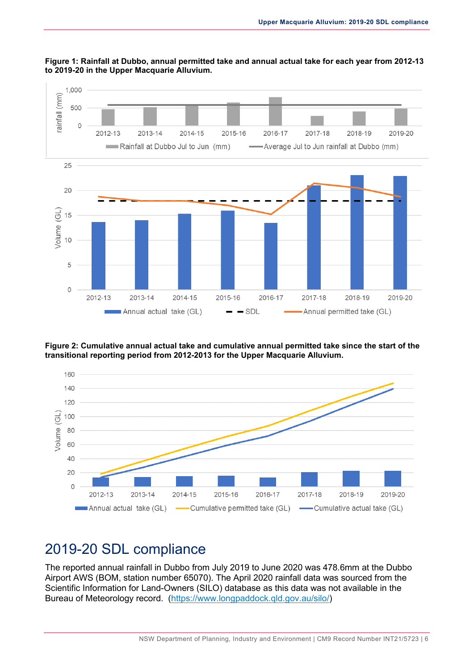

#### <span id="page-9-1"></span>**Figure 1: Rainfall at Dubbo, annual permitted take and annual actual take for each year from 2012-13 to 2019-20 in the Upper Macquarie Alluvium.**

<span id="page-9-2"></span>**Figure 2: Cumulative annual actual take and cumulative annual permitted take since the start of the transitional reporting period from 2012-2013 for the Upper Macquarie Alluvium.**



#### <span id="page-9-0"></span>2019-20 SDL compliance

The reported annual rainfall in Dubbo from July 2019 to June 2020 was 478.6mm at the Dubbo Airport AWS (BOM, station number 65070). The April 2020 rainfall data was sourced from the Scientific Information for Land-Owners (SILO) database as this data was not available in the Bureau of Meteorology record. [\(https://www.longpaddock.qld.gov.au/silo/\)](https://www.longpaddock.qld.gov.au/silo/)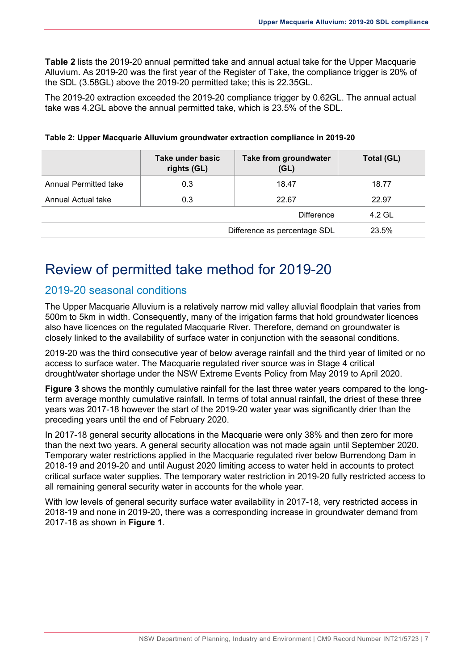**[Table 2](#page-10-2)** lists the 2019-20 annual permitted take and annual actual take for the Upper Macquarie Alluvium. As 2019-20 was the first year of the Register of Take, the compliance trigger is 20% of the SDL (3.58GL) above the 2019-20 permitted take; this is 22.35GL.

The 2019-20 extraction exceeded the 2019-20 compliance trigger by 0.62GL. The annual actual take was 4.2GL above the annual permitted take, which is 23.5% of the SDL.

|                       | Take under basic<br>rights (GL) | Take from groundwater<br>(GL) | Total (GL) |
|-----------------------|---------------------------------|-------------------------------|------------|
| Annual Permitted take | 0.3                             | 18.47                         | 18.77      |
| Annual Actual take    | 0.3                             | 22.67                         | 22.97      |
|                       | 4.2 GL                          |                               |            |
|                       | 23.5%                           |                               |            |

#### <span id="page-10-2"></span>**Table 2: Upper Macquarie Alluvium groundwater extraction compliance in 2019-20**

#### <span id="page-10-0"></span>Review of permitted take method for 2019-20

#### <span id="page-10-1"></span>2019-20 seasonal conditions

The Upper Macquarie Alluvium is a relatively narrow mid valley alluvial floodplain that varies from 500m to 5km in width. Consequently, many of the irrigation farms that hold groundwater licences also have licences on the regulated Macquarie River. Therefore, demand on groundwater is closely linked to the availability of surface water in conjunction with the seasonal conditions.

2019-20 was the third consecutive year of below average rainfall and the third year of limited or no access to surface water. The Macquarie regulated river source was in Stage 4 critical drought/water shortage under the NSW Extreme Events Policy from May 2019 to April 2020.

**[Figure 3](#page-11-3)** shows the monthly cumulative rainfall for the last three water years compared to the longterm average monthly cumulative rainfall. In terms of total annual rainfall, the driest of these three years was 2017-18 however the start of the 2019-20 water year was significantly drier than the preceding years until the end of February 2020.

In 2017-18 general security allocations in the Macquarie were only 38% and then zero for more than the next two years. A general security allocation was not made again until September 2020. Temporary water restrictions applied in the Macquarie regulated river below Burrendong Dam in 2018-19 and 2019-20 and until August 2020 limiting access to water held in accounts to protect critical surface water supplies. The temporary water restriction in 2019-20 fully restricted access to all remaining general security water in accounts for the whole year.

With low levels of general security surface water availability in 2017-18, very restricted access in 2018-19 and none in 2019-20, there was a corresponding increase in groundwater demand from 2017-18 as shown in **[Figure 1](#page-9-1)**.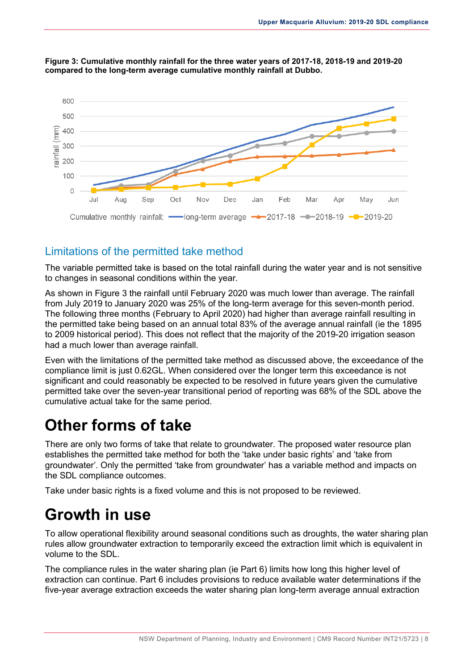

<span id="page-11-3"></span>

#### <span id="page-11-0"></span>Limitations of the permitted take method

The variable permitted take is based on the total rainfall during the water year and is not sensitive to changes in seasonal conditions within the year.

As shown in [Figure 3](#page-11-3) the rainfall until February 2020 was much lower than average. The rainfall from July 2019 to January 2020 was 25% of the long-term average for this seven-month period. The following three months (February to April 2020) had higher than average rainfall resulting in the permitted take being based on an annual total 83% of the average annual rainfall (ie the 1895 to 2009 historical period). This does not reflect that the majority of the 2019-20 irrigation season had a much lower than average rainfall.

Even with the limitations of the permitted take method as discussed above, the exceedance of the compliance limit is just 0.62GL. When considered over the longer term this exceedance is not significant and could reasonably be expected to be resolved in future years given the cumulative permitted take over the seven-year transitional period of reporting was 68% of the SDL above the cumulative actual take for the same period.

## <span id="page-11-1"></span>**Other forms of take**

There are only two forms of take that relate to groundwater. The proposed water resource plan establishes the permitted take method for both the 'take under basic rights' and 'take from groundwater'. Only the permitted 'take from groundwater' has a variable method and impacts on the SDL compliance outcomes.

Take under basic rights is a fixed volume and this is not proposed to be reviewed.

## <span id="page-11-2"></span>**Growth in use**

To allow operational flexibility around seasonal conditions such as droughts, the water sharing plan rules allow groundwater extraction to temporarily exceed the extraction limit which is equivalent in volume to the SDL.

The compliance rules in the water sharing plan (ie Part 6) limits how long this higher level of extraction can continue. Part 6 includes provisions to reduce available water determinations if the five-year average extraction exceeds the water sharing plan long-term average annual extraction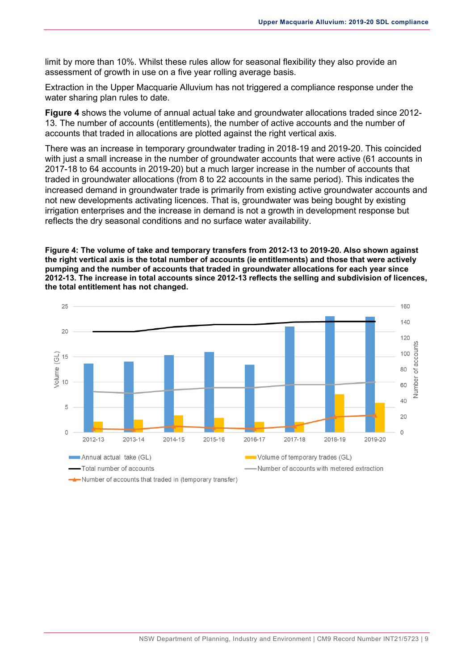limit by more than 10%. Whilst these rules allow for seasonal flexibility they also provide an assessment of growth in use on a five year rolling average basis.

Extraction in the Upper Macquarie Alluvium has not triggered a compliance response under the water sharing plan rules to date.

**[Figure 4](#page-12-0)** shows the volume of annual actual take and groundwater allocations traded since 2012- 13. The number of accounts (entitlements), the number of active accounts and the number of accounts that traded in allocations are plotted against the right vertical axis.

There was an increase in temporary groundwater trading in 2018-19 and 2019-20. This coincided with just a small increase in the number of groundwater accounts that were active (61 accounts in 2017-18 to 64 accounts in 2019-20) but a much larger increase in the number of accounts that traded in groundwater allocations (from 8 to 22 accounts in the same period). This indicates the increased demand in groundwater trade is primarily from existing active groundwater accounts and not new developments activating licences. That is, groundwater was being bought by existing irrigation enterprises and the increase in demand is not a growth in development response but reflects the dry seasonal conditions and no surface water availability.

<span id="page-12-0"></span>**Figure 4: The volume of take and temporary transfers from 2012-13 to 2019-20. Also shown against the right vertical axis is the total number of accounts (ie entitlements) and those that were actively pumping and the number of accounts that traded in groundwater allocations for each year since 2012-13. The increase in total accounts since 2012-13 reflects the selling and subdivision of licences, the total entitlement has not changed.** 

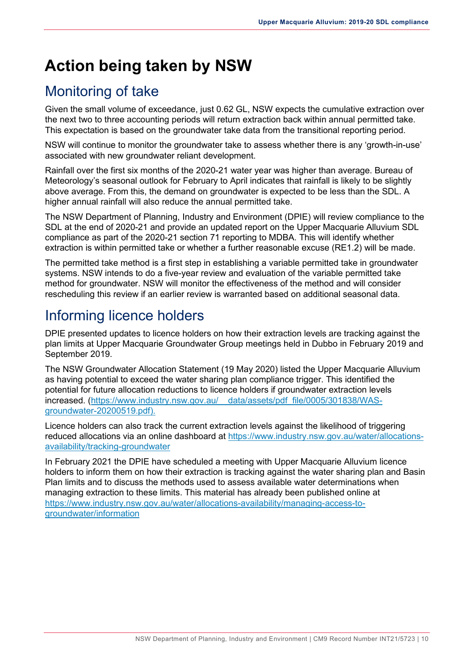## <span id="page-13-0"></span>**Action being taken by NSW**

### <span id="page-13-1"></span>Monitoring of take

Given the small volume of exceedance, just 0.62 GL, NSW expects the cumulative extraction over the next two to three accounting periods will return extraction back within annual permitted take. This expectation is based on the groundwater take data from the transitional reporting period.

NSW will continue to monitor the groundwater take to assess whether there is any 'growth-in-use' associated with new groundwater reliant development.

Rainfall over the first six months of the 2020-21 water year was higher than average. Bureau of Meteorology's seasonal outlook for February to April indicates that rainfall is likely to be slightly above average. From this, the demand on groundwater is expected to be less than the SDL. A higher annual rainfall will also reduce the annual permitted take.

The NSW Department of Planning, Industry and Environment (DPIE) will review compliance to the SDL at the end of 2020-21 and provide an updated report on the Upper Macquarie Alluvium SDL compliance as part of the 2020-21 section 71 reporting to MDBA. This will identify whether extraction is within permitted take or whether a further reasonable excuse (RE1.2) will be made.

The permitted take method is a first step in establishing a variable permitted take in groundwater systems. NSW intends to do a five-year review and evaluation of the variable permitted take method for groundwater. NSW will monitor the effectiveness of the method and will consider rescheduling this review if an earlier review is warranted based on additional seasonal data.

#### <span id="page-13-2"></span>Informing licence holders

DPIE presented updates to licence holders on how their extraction levels are tracking against the plan limits at Upper Macquarie Groundwater Group meetings held in Dubbo in February 2019 and September 2019.

The NSW Groundwater Allocation Statement (19 May 2020) listed the Upper Macquarie Alluvium as having potential to exceed the water sharing plan compliance trigger. This identified the potential for future allocation reductions to licence holders if groundwater extraction levels increased. (https://www.industry.nsw.gov.au/ \_\_data/assets/pdf\_file/0005/301838/WAS[groundwater-20200519.pdf\)](https://www.industry.nsw.gov.au/__data/assets/pdf_file/0005/301838/WAS-groundwater-20200519.pdf).

Licence holders can also track the current extraction levels against the likelihood of triggering reduced allocations via an online dashboard at [https://www.industry.nsw.gov.au/water/allocations](https://www.industry.nsw.gov.au/water/allocations-availability/tracking-groundwater)[availability/tracking-groundwater](https://www.industry.nsw.gov.au/water/allocations-availability/tracking-groundwater)

In February 2021 the DPIE have scheduled a meeting with Upper Macquarie Alluvium licence holders to inform them on how their extraction is tracking against the water sharing plan and Basin Plan limits and to discuss the methods used to assess available water determinations when managing extraction to these limits. This material has already been published online at [https://www.industry.nsw.gov.au/water/allocations-availability/managing-access-to](https://www.industry.nsw.gov.au/water/allocations-availability/managing-access-to-groundwater/information)[groundwater/information](https://www.industry.nsw.gov.au/water/allocations-availability/managing-access-to-groundwater/information)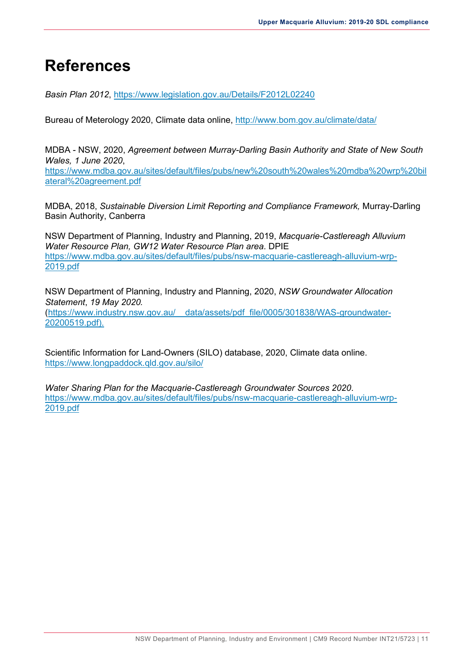### <span id="page-14-0"></span>**References**

*Basin Plan 2012*,<https://www.legislation.gov.au/Details/F2012L02240>

Bureau of Meterology 2020, Climate data online,<http://www.bom.gov.au/climate/data/>

MDBA - NSW, 2020, *Agreement between Murray-Darling Basin Authority and State of New South Wales, 1 June 2020*, [https://www.mdba.gov.au/sites/default/files/pubs/new%20south%20wales%20mdba%20wrp%20bil](https://www.mdba.gov.au/sites/default/files/pubs/new%20south%20wales%20mdba%20wrp%20bilateral%20agreement.pdf) [ateral%20agreement.pdf](https://www.mdba.gov.au/sites/default/files/pubs/new%20south%20wales%20mdba%20wrp%20bilateral%20agreement.pdf)

MDBA, 2018, *Sustainable Diversion Limit Reporting and Compliance Framework,* Murray-Darling Basin Authority, Canberra

NSW Department of Planning, Industry and Planning, 2019, *Macquarie-Castlereagh Alluvium Water Resource Plan, GW12 Water Resource Plan area*. DPIE [https://www.mdba.gov.au/sites/default/files/pubs/nsw-macquarie-castlereagh-alluvium-wrp-](https://www.mdba.gov.au/sites/default/files/pubs/nsw-macquarie-castlereagh-alluvium-wrp-2019.pdf)[2019.pdf](https://www.mdba.gov.au/sites/default/files/pubs/nsw-macquarie-castlereagh-alluvium-wrp-2019.pdf)

NSW Department of Planning, Industry and Planning, 2020, *NSW Groundwater Allocation Statement*, *19 May 2020.* 

[\(https://www.industry.nsw.gov.au/\\_\\_data/assets/pdf\\_file/0005/301838/WAS-groundwater-](https://www.industry.nsw.gov.au/__data/assets/pdf_file/0005/301838/WAS-groundwater-20200519.pdf)[20200519.pdf\)](https://www.industry.nsw.gov.au/__data/assets/pdf_file/0005/301838/WAS-groundwater-20200519.pdf).

Scientific Information for Land-Owners (SILO) database, 2020, Climate data online. <https://www.longpaddock.qld.gov.au/silo/>

*Water Sharing Plan for the Macquarie-Castlereagh Groundwater Sources 2020*. [https://www.mdba.gov.au/sites/default/files/pubs/nsw-macquarie-castlereagh-alluvium-wrp-](https://www.mdba.gov.au/sites/default/files/pubs/nsw-macquarie-castlereagh-alluvium-wrp-2019.pdf)[2019.pdf](https://www.mdba.gov.au/sites/default/files/pubs/nsw-macquarie-castlereagh-alluvium-wrp-2019.pdf)